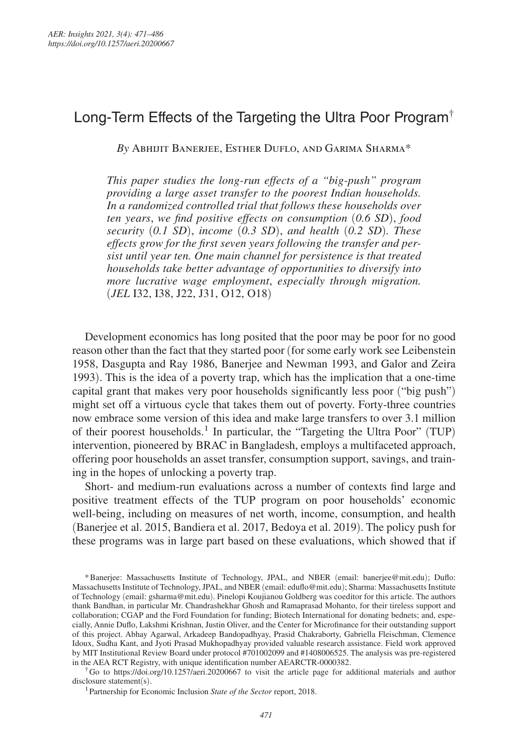# Long-Term Effects of the Targeting the Ultra Poor Program†

*By* Abhijit Banerjee, Esther Duflo, and Garima Sharma\*

*This paper studies the long-run effects of a " big-push" program providing a large asset transfer to the poorest Indian households. In a randomized controlled trial that follows these households over ten years*, *we find positive effects on consumption* (*0.6 SD*), *food security* (*0.1 SD*), *income* (*0.3 SD*), *and health* (*0.2 SD*)*. These effects grow for the first seven years following the transfer and persist until year ten. One main channel for persistence is that treated households take better advantage of opportunities to diversify into more lucrative wage employment*, *especially through migration.*  (*JEL* I32, I38, J22, J31, O12, O18)

Development economics has long posited that the poor may be poor for no good reason other than the fact that they started poor (for some early work see Leibenstein 1958, Dasgupta and Ray 1986, Banerjee and Newman 1993, and Galor and Zeira 1993). This is the idea of a poverty trap, which has the implication that a one-time capital grant that makes very poor households significantly less poor ("big push") might set off a virtuous cycle that takes them out of poverty. Forty-three countries now embrace some version of this idea and make large transfers to over 3.1 million of their poorest households.<sup>1</sup> In particular, the "Targeting the Ultra Poor" (TUP) intervention, pioneered by BRAC in Bangladesh, employs a multifaceted approach, offering poor households an asset transfer, consumption support, savings, and training in the hopes of unlocking a poverty trap.

Short- and medium-run evaluations across a number of contexts find large and positive treatment effects of the TUP program on poor households' economic well-being, including on measures of net worth, income, consumption, and health (Banerjee et al. 2015, Bandiera et al. 2017, Bedoya et al. 2019). The policy push for these programs was in large part based on these evaluations, which showed that if

† Go to https://doi.org/10.1257/aeri.20200667 to visit the article page for additional materials and author disclosure statement(s).

<sup>1</sup>Partnership for Economic Inclusion *State of the Sector* report, 2018.

<sup>\*</sup> Banerjee: Massachusetts Institute of Technology, JPAL, and NBER (email: banerjee@mit.edu); Duflo: Massachusetts Institute of Technology, JPAL, and NBER (email: eduflo@mit.edu); Sharma: Massachusetts Institute of Technology (email: gsharma@mit.edu). Pinelopi Koujianou Goldberg was coeditor for this article. The authors thank Bandhan, in particular Mr. Chandrashekhar Ghosh and Ramaprasad Mohanto, for their tireless support and collaboration; CGAP and the Ford Foundation for funding; Biotech International for donating bednets; and, especially, Annie Duflo, Lakshmi Krishnan, Justin Oliver, and the Center for Microfinance for their outstanding support of this project. Abhay Agarwal, Arkadeep Bandopadhyay, Prasid Chakraborty, Gabriella Fleischman, Clemence Idoux, Sudha Kant, and Jyoti Prasad Mukhopadhyay provided valuable research assistance. Field work approved by MIT Institutional Review Board under protocol #701002099 and #1408006525. The analysis was pre-registered in the AEA RCT Registry, with unique identification number AEARCTR-0000382.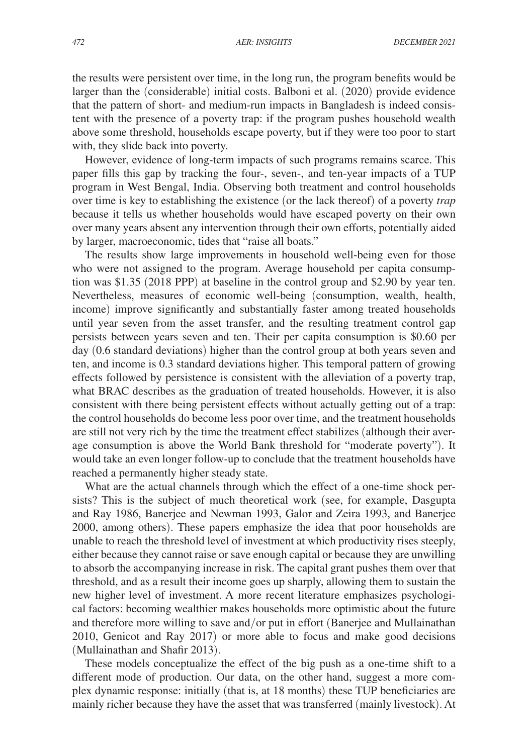the results were persistent over time, in the long run, the program benefits would be larger than the (considerable) initial costs. Balboni et al. (2020) provide evidence that the pattern of short- and medium-run impacts in Bangladesh is indeed consistent with the presence of a poverty trap: if the program pushes household wealth above some threshold, households escape poverty, but if they were too poor to start with, they slide back into poverty.

However, evidence of long-term impacts of such programs remains scarce. This paper fills this gap by tracking the four-, seven-, and ten-year impacts of a TUP program in West Bengal, India. Observing both treatment and control households over time is key to establishing the existence (or the lack thereof) of a poverty *trap* because it tells us whether households would have escaped poverty on their own over many years absent any intervention through their own efforts, potentially aided by larger, macroeconomic, tides that "raise all boats."

The results show large improvements in household well-being even for those who were not assigned to the program. Average household per capita consumption was \$1.35 (2018 PPP) at baseline in the control group and \$2.90 by year ten. Nevertheless, measures of economic well-being (consumption, wealth, health, income) improve significantly and substantially faster among treated households until year seven from the asset transfer, and the resulting treatment control gap persists between years seven and ten. Their per capita consumption is \$0.60 per day (0.6 standard deviations) higher than the control group at both years seven and ten, and income is 0.3 standard deviations higher. This temporal pattern of growing effects followed by persistence is consistent with the alleviation of a poverty trap, what BRAC describes as the graduation of treated households. However, it is also consistent with there being persistent effects without actually getting out of a trap: the control households do become less poor over time, and the treatment households are still not very rich by the time the treatment effect stabilizes (although their average consumption is above the World Bank threshold for "moderate poverty"). It would take an even longer follow-up to conclude that the treatment households have reached a permanently higher steady state.

What are the actual channels through which the effect of a one-time shock persists? This is the subject of much theoretical work (see, for example, Dasgupta and Ray 1986, Banerjee and Newman 1993, Galor and Zeira 1993, and Banerjee 2000, among others). These papers emphasize the idea that poor households are unable to reach the threshold level of investment at which productivity rises steeply, either because they cannot raise or save enough capital or because they are unwilling to absorb the accompanying increase in risk. The capital grant pushes them over that threshold, and as a result their income goes up sharply, allowing them to sustain the new higher level of investment. A more recent literature emphasizes psychological factors: becoming wealthier makes households more optimistic about the future and therefore more willing to save and/or put in effort (Banerjee and Mullainathan 2010, Genicot and Ray 2017) or more able to focus and make good decisions (Mullainathan and Shafir 2013).

These models conceptualize the effect of the big push as a one-time shift to a different mode of production. Our data, on the other hand, suggest a more complex dynamic response: initially (that is, at 18 months) these TUP beneficiaries are mainly richer because they have the asset that was transferred (mainly livestock). At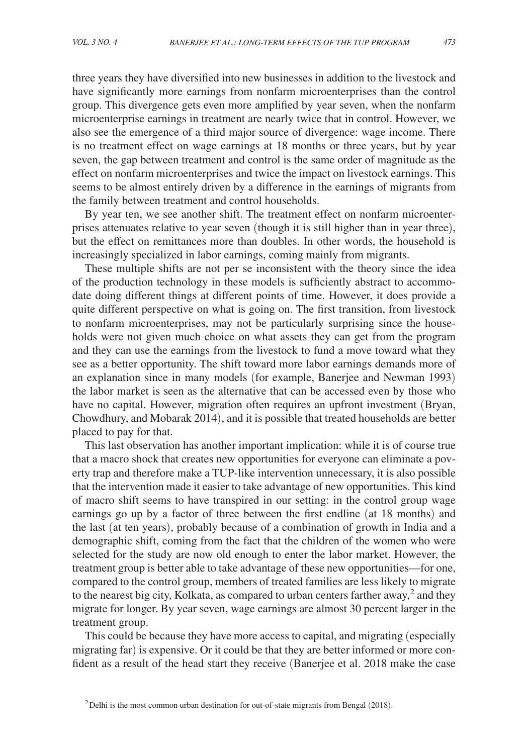three years they have diversified into new businesses in addition to the livestock and have significantly more earnings from nonfarm microenterprises than the control group. This divergence gets even more amplified by year seven, when the nonfarm microenterprise earnings in treatment are nearly twice that in control. However, we also see the emergence of a third major source of divergence: wage income. There is no treatment effect on wage earnings at 18 months or three years, but by year seven, the gap between treatment and control is the same order of magnitude as the effect on nonfarm microenterprises and twice the impact on livestock earnings. This seems to be almost entirely driven by a difference in the earnings of migrants from the family between treatment and control households.

By year ten, we see another shift. The treatment effect on nonfarm microenterprises attenuates relative to year seven (though it is still higher than in year three), but the effect on remittances more than doubles. In other words, the household is increasingly specialized in labor earnings, coming mainly from migrants.

These multiple shifts are not per se inconsistent with the theory since the idea of the production technology in these models is sufficiently abstract to accommodate doing different things at different points of time. However, it does provide a quite different perspective on what is going on. The first transition, from livestock to nonfarm microenterprises, may not be particularly surprising since the households were not given much choice on what assets they can get from the program and they can use the earnings from the livestock to fund a move toward what they see as a better opportunity. The shift toward more labor earnings demands more of an explanation since in many models (for example, Banerjee and Newman 1993) the labor market is seen as the alternative that can be accessed even by those who have no capital. However, migration often requires an upfront investment (Bryan, Chowdhury, and Mobarak 2014), and it is possible that treated households are better placed to pay for that.

This last observation has another important implication: while it is of course true that a macro shock that creates new opportunities for everyone can eliminate a poverty trap and therefore make a TUP-like intervention unnecessary, it is also possible that the intervention made it easier to take advantage of new opportunities. This kind of macro shift seems to have transpired in our setting: in the control group wage earnings go up by a factor of three between the first endline (at 18 months) and the last (at ten years), probably because of a combination of growth in India and a demographic shift, coming from the fact that the children of the women who were selected for the study are now old enough to enter the labor market. However, the treatment group is better able to take advantage of these new opportunities—for one, compared to the control group, members of treated families are less likely to migrate to the nearest big city, Kolkata, as compared to urban centers farther away,<sup>2</sup> and they migrate for longer. By year seven, wage earnings are almost 30 percent larger in the treatment group.

This could be because they have more access to capital, and migrating (especially migrating far) is expensive. Or it could be that they are better informed or more confident as a result of the head start they receive (Banerjee et al. 2018 make the case

 $2$  Delhi is the most common urban destination for out-of-state migrants from Bengal (2018).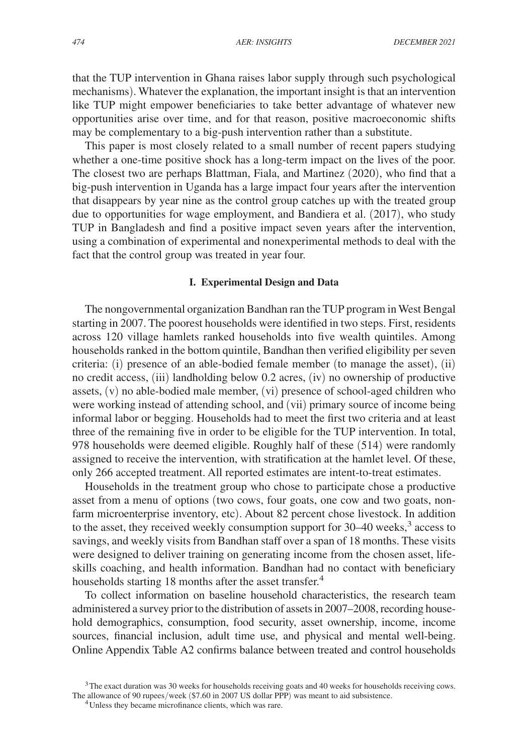that the TUP intervention in Ghana raises labor supply through such psychological mechanisms). Whatever the explanation, the important insight is that an intervention like TUP might empower beneficiaries to take better advantage of whatever new opportunities arise over time, and for that reason, positive macroeconomic shifts may be complementary to a big-push intervention rather than a substitute.

This paper is most closely related to a small number of recent papers studying whether a one-time positive shock has a long-term impact on the lives of the poor. The closest two are perhaps Blattman, Fiala, and Martinez (2020), who find that a big-push intervention in Uganda has a large impact four years after the intervention that disappears by year nine as the control group catches up with the treated group due to opportunities for wage employment, and Bandiera et al. (2017), who study TUP in Bangladesh and find a positive impact seven years after the intervention, using a combination of experimental and nonexperimental methods to deal with the fact that the control group was treated in year four.

#### **I. Experimental Design and Data**

The nongovernmental organization Bandhan ran the TUP program in West Bengal starting in 2007. The poorest households were identified in two steps. First, residents across 120 village hamlets ranked households into five wealth quintiles. Among households ranked in the bottom quintile, Bandhan then verified eligibility per seven criteria: (i) presence of an able-bodied female member (to manage the asset), (ii) no credit access, (iii) landholding below 0.2 acres, (iv) no ownership of productive assets, (v) no able-bodied male member, (vi) presence of school-aged children who were working instead of attending school, and (vii) primary source of income being informal labor or begging. Households had to meet the first two criteria and at least three of the remaining five in order to be eligible for the TUP intervention. In total, 978 households were deemed eligible. Roughly half of these (514) were randomly assigned to receive the intervention, with stratification at the hamlet level. Of these, only 266 accepted treatment. All reported estimates are intent-to-treat estimates.

Households in the treatment group who chose to participate chose a productive asset from a menu of options (two cows, four goats, one cow and two goats, nonfarm microenterprise inventory, etc). About 82 percent chose livestock. In addition to the asset, they received weekly consumption support for 30–40 weeks,<sup>3</sup> access to savings, and weekly visits from Bandhan staff over a span of 18 months. These visits were designed to deliver training on generating income from the chosen asset, lifeskills coaching, and health information. Bandhan had no contact with beneficiary households starting 18 months after the asset transfer.<sup>4</sup>

To collect information on baseline household characteristics, the research team administered a survey prior to the distribution of assets in 2007–2008, recording household demographics, consumption, food security, asset ownership, income, income sources, financial inclusion, adult time use, and physical and mental well-being. Online Appendix Table A2 confirms balance between treated and control households

<sup>&</sup>lt;sup>3</sup>The exact duration was 30 weeks for households receiving goats and 40 weeks for households receiving cows. The allowance of 90 rupees/week (\$7.60 in 2007 US dollar PPP) was meant to aid subsistence.

<sup>&</sup>lt;sup>4</sup>Unless they became microfinance clients, which was rare.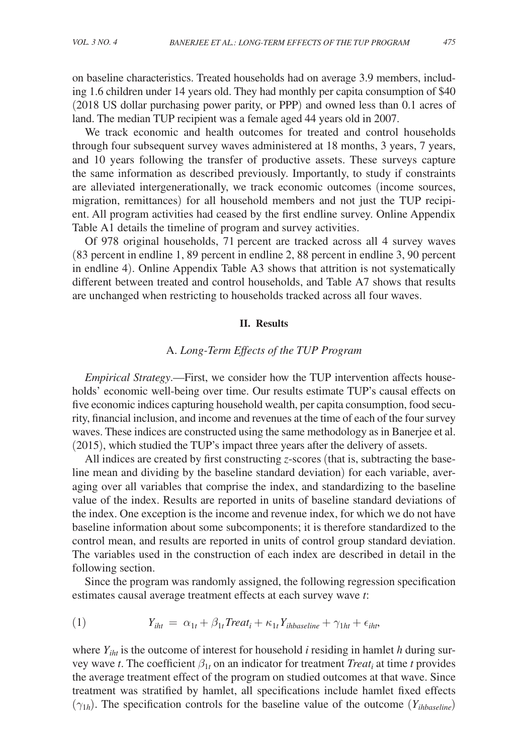on baseline characteristics. Treated households had on average 3.9 members, including 1.6 children under 14 years old. They had monthly per capita consumption of \$40 (2018 US dollar purchasing power parity, or PPP) and owned less than 0.1 acres of land. The median TUP recipient was a female aged 44 years old in 2007.

We track economic and health outcomes for treated and control households through four subsequent survey waves administered at 18 months, 3 years, 7 years, and 10 years following the transfer of productive assets. These surveys capture the same information as described previously. Importantly, to study if constraints are alleviated intergenerationally, we track economic outcomes (income sources, migration, remittances) for all household members and not just the TUP recipient. All program activities had ceased by the first endline survey. Online Appendix Table A1 details the timeline of program and survey activities.

Of 978 original households, 71 percent are tracked across all 4 survey waves (83 percent in endline 1, 89 percent in endline 2, 88 percent in endline 3, 90 percent in endline 4). Online Appendix Table A3 shows that attrition is not systematically different between treated and control households, and Table A7 shows that results are unchanged when restricting to households tracked across all four waves.

# **II. Results**

# A. *Long-Term Effects of the TUP Program*

*Empirical Strategy*.—First, we consider how the TUP intervention affects households' economic well-being over time. Our results estimate TUP's causal effects on five economic indices capturing household wealth, per capita consumption, food security, financial inclusion, and income and revenues at the time of each of the four survey waves. These indices are constructed using the same methodology as in Banerjee et al. (2015), which studied the TUP's impact three years after the delivery of assets.

All indices are created by first constructing *z*-scores (that is, subtracting the baseline mean and dividing by the baseline standard deviation) for each variable, averaging over all variables that comprise the index, and standardizing to the baseline value of the index. Results are reported in units of baseline standard deviations of the index. One exception is the income and revenue index, for which we do not have baseline information about some subcomponents; it is therefore standardized to the control mean, and results are reported in units of control group standard deviation. The variables used in the construction of each index are described in detail in the following section.

Since the program was randomly assigned, the following regression specification estimates causal average treatment effects at each survey wave *t*:

(1) 
$$
Y_{iht} = \alpha_{1t} + \beta_{1t} Treat_t + \kappa_{1t} Y_{ihbaseline} + \gamma_{1ht} + \epsilon_{iht},
$$

where  $Y_{iht}$  is the outcome of interest for household *i* residing in hamlet *h* during survey wave *t*. The coefficient  $\beta_{1t}$  on an indicator for treatment *Treat<sub>i</sub>* at time *t* provides the average treatment effect of the program on studied outcomes at that wave. Since treatment was stratified by hamlet, all specifications include hamlet fixed effects  $(\gamma_{1h})$ . The specification controls for the baseline value of the outcome  $(Y_{ihbaseline})$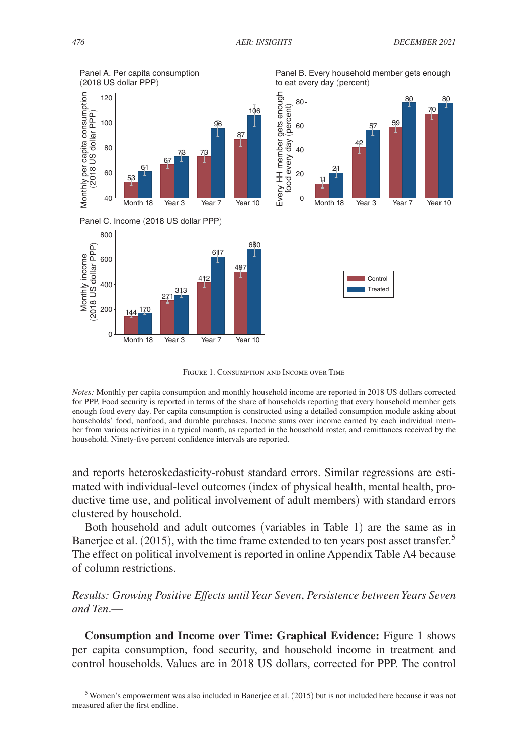

Figure 1. Consumption and Income over Time

*Notes:* Monthly per capita consumption and monthly household income are reported in 2018 US dollars corrected for PPP. Food security is reported in terms of the share of households reporting that every household member gets enough food every day. Per capita consumption is constructed using a detailed consumption module asking about households' food, nonfood, and durable purchases. Income sums over income earned by each individual member from various activities in a typical month, as reported in the household roster, and remittances received by the household. Ninety-five percent confidence intervals are reported.

and reports heteroskedasticity-robust standard errors. Similar regressions are estimated with individual-level outcomes (index of physical health, mental health, productive time use, and political involvement of adult members) with standard errors clustered by household.

Both household and adult outcomes (variables in Table 1) are the same as in Banerjee et al. (2015), with the time frame extended to ten years post asset transfer.<sup>5</sup> The effect on political involvement is reported in online Appendix Table A4 because of column restrictions.

*Results: Growing Positive Effects until Year Seven*, *Persistence between Years Seven and Ten*.—

**Consumption and Income over Time: Graphical Evidence:** Figure 1 shows per capita consumption, food security, and household income in treatment and control households. Values are in 2018 US dollars, corrected for PPP. The control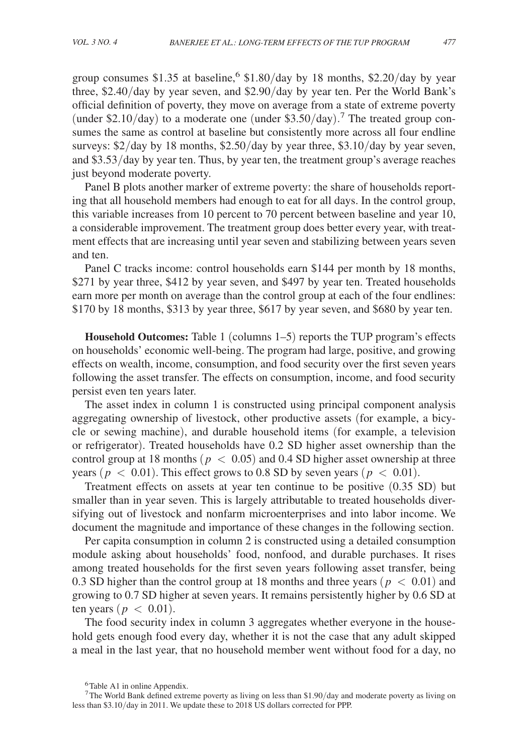group consumes \$1.35 at baseline,<sup>6</sup> \$1.80/day by 18 months, \$2.20/day by year three, \$2.40/day by year seven, and \$2.90/day by year ten. Per the World Bank's official definition of poverty, they move on average from a state of extreme poverty (under \$2.10/day) to a moderate one (under \$3.50/day).<sup>7</sup> The treated group consumes the same as control at baseline but consistently more across all four endline surveys:  $\frac{2}{\text{day}}$  by 18 months,  $\frac{2.50}{\text{day}}$  by year three,  $\frac{2.310}{\text{day}}$  by year seven, and \$3.53/day by year ten. Thus, by year ten, the treatment group's average reaches just beyond moderate poverty.

Panel B plots another marker of extreme poverty: the share of households reporting that all household members had enough to eat for all days. In the control group, this variable increases from 10 percent to 70 percent between baseline and year 10, a considerable improvement. The treatment group does better every year, with treatment effects that are increasing until year seven and stabilizing between years seven and ten.

Panel C tracks income: control households earn \$144 per month by 18 months, \$271 by year three, \$412 by year seven, and \$497 by year ten. Treated households earn more per month on average than the control group at each of the four endlines: \$170 by 18 months, \$313 by year three, \$617 by year seven, and \$680 by year ten.

**Household Outcomes:** Table 1 (columns 1–5) reports the TUP program's effects on households' economic well-being. The program had large, positive, and growing effects on wealth, income, consumption, and food security over the first seven years following the asset transfer. The effects on consumption, income, and food security persist even ten years later.

The asset index in column 1 is constructed using principal component analysis aggregating ownership of livestock, other productive assets (for example, a bicycle or sewing machine), and durable household items (for example, a television or refrigerator). Treated households have 0.2 SD higher asset ownership than the control group at 18 months ( $p < 0.05$ ) and 0.4 SD higher asset ownership at three years ( $p < 0.01$ ). This effect grows to 0.8 SD by seven years ( $p < 0.01$ ).

Treatment effects on assets at year ten continue to be positive (0.35 SD) but smaller than in year seven. This is largely attributable to treated households diversifying out of livestock and nonfarm microenterprises and into labor income. We document the magnitude and importance of these changes in the following section.

Per capita consumption in column 2 is constructed using a detailed consumption module asking about households' food, nonfood, and durable purchases. It rises among treated households for the first seven years following asset transfer, being 0.3 SD higher than the control group at 18 months and three years ( $p < 0.01$ ) and growing to 0.7 SD higher at seven years. It remains persistently higher by 0.6 SD at ten years ( $p < 0.01$ ).

The food security index in column 3 aggregates whether everyone in the household gets enough food every day, whether it is not the case that any adult skipped a meal in the last year, that no household member went without food for a day, no

<sup>&</sup>lt;sup>6</sup>Table A1 in online Appendix.

<sup>7</sup>The World Bank defined extreme poverty as living on less than \$1.90/day and moderate poverty as living on less than \$3.10/day in 2011. We update these to 2018 US dollars corrected for PPP.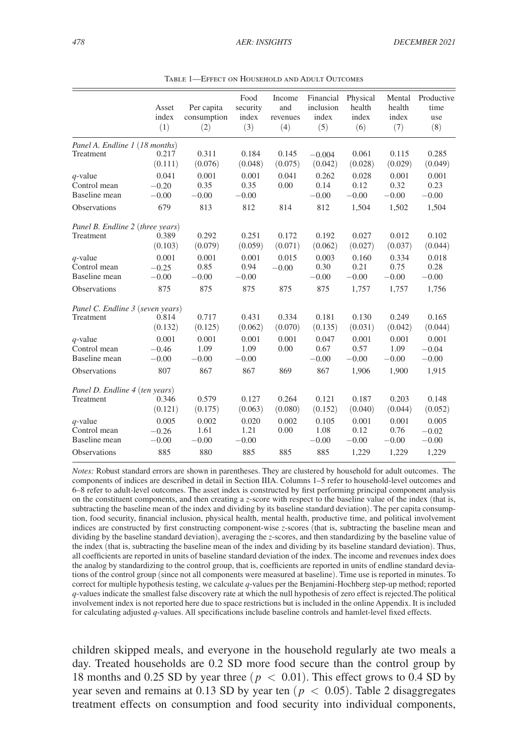|                                  | Asset<br>index<br>(1) | Per capita<br>consumption<br>(2) | Food<br>security<br>index<br>(3) | Income<br>and<br>revenues<br>(4) | Financial<br>inclusion<br>index<br>(5) | Physical<br>health<br>index<br>(6) | Mental<br>health<br>index<br>(7) | Productive<br>time<br>use<br>(8) |  |
|----------------------------------|-----------------------|----------------------------------|----------------------------------|----------------------------------|----------------------------------------|------------------------------------|----------------------------------|----------------------------------|--|
| Panel A. Endline 1 (18 months)   |                       |                                  |                                  |                                  |                                        |                                    |                                  |                                  |  |
| Treatment                        | 0.217<br>(0.111)      | 0.311<br>(0.076)                 | 0.184<br>(0.048)                 | 0.145<br>(0.075)                 | $-0.004$<br>(0.042)                    | 0.061<br>(0.028)                   | 0.115<br>(0.029)                 | 0.285<br>(0.049)                 |  |
| $q$ -value                       | 0.041                 | 0.001                            | 0.001                            | 0.041                            | 0.262                                  | 0.028                              | 0.001                            | 0.001                            |  |
| Control mean                     | $-0.20$               | 0.35                             | 0.35                             | 0.00                             | 0.14                                   | 0.12                               | 0.32                             | 0.23                             |  |
| Baseline mean                    | $-0.00$               | $-0.00$                          | $-0.00$                          |                                  | $-0.00$                                | $-0.00$                            | $-0.00$                          | $-0.00$                          |  |
| <b>Observations</b>              | 679                   | 813                              | 812                              | 814                              | 812                                    | 1,504                              | 1,502                            | 1,504                            |  |
| Panel B. Endline 2 (three years) |                       |                                  |                                  |                                  |                                        |                                    |                                  |                                  |  |
| <b>Treatment</b>                 | 0.389                 | 0.292                            | 0.251                            | 0.172                            | 0.192                                  | 0.027                              | 0.012                            | 0.102                            |  |
|                                  | (0.103)               | (0.079)                          | (0.059)                          | (0.071)                          | (0.062)                                | (0.027)                            | (0.037)                          | (0.044)                          |  |
| $q$ -value                       | 0.001                 | 0.001                            | 0.001                            | 0.015                            | 0.003                                  | 0.160                              | 0.334                            | 0.018                            |  |
| Control mean                     | $-0.25$               | 0.85                             | 0.94                             | $-0.00$                          | 0.30                                   | 0.21                               | 0.75                             | 0.28                             |  |
| Baseline mean                    | $-0.00$               | $-0.00$                          | $-0.00$                          |                                  | $-0.00$                                | $-0.00$                            | $-0.00$                          | $-0.00$                          |  |
| Observations                     | 875                   | 875                              | 875                              | 875                              | 875                                    | 1,757                              | 1,757                            | 1,756                            |  |
| Panel C. Endline 3 (seven years) |                       |                                  |                                  |                                  |                                        |                                    |                                  |                                  |  |
| Treatment                        | 0.814                 | 0.717                            | 0.431                            | 0.334                            | 0.181                                  | 0.130                              | 0.249                            | 0.165                            |  |
|                                  | (0.132)               | (0.125)                          | (0.062)                          | (0.070)                          | (0.135)                                | (0.031)                            | (0.042)                          | (0.044)                          |  |
| $q$ -value                       | 0.001                 | 0.001                            | 0.001                            | 0.001                            | 0.047                                  | 0.001                              | 0.001                            | 0.001                            |  |
| Control mean                     | $-0.46$               | 1.09                             | 1.09                             | 0.00                             | 0.67                                   | 0.57                               | 1.09                             | $-0.04$                          |  |
| Baseline mean                    | $-0.00$               | $-0.00$                          | $-0.00$                          |                                  | $-0.00$                                | $-0.00$                            | $-0.00$                          | $-0.00$                          |  |
| <b>Observations</b>              | 807                   | 867                              | 867                              | 869                              | 867                                    | 1.906                              | 1.900                            | 1,915                            |  |
| Panel D. Endline 4 (ten years)   |                       |                                  |                                  |                                  |                                        |                                    |                                  |                                  |  |
| Treatment                        | 0.346                 | 0.579                            | 0.127                            | 0.264                            | 0.121                                  | 0.187                              | 0.203                            | 0.148                            |  |
|                                  | (0.121)               | (0.175)                          | (0.063)                          | (0.080)                          | (0.152)                                | (0.040)                            | (0.044)                          | (0.052)                          |  |
| $q$ -value                       | 0.005                 | 0.002                            | 0.020                            | 0.002                            | 0.105                                  | 0.001                              | 0.001                            | 0.005                            |  |
| Control mean                     | $-0.26$               | 1.61                             | 1.21                             | 0.00                             | 1.08                                   | 0.12                               | 0.76                             | $-0.02$                          |  |
| Baseline mean                    | $-0.00$               | $-0.00$                          | $-0.00$                          |                                  | $-0.00$                                | $-0.00$                            | $-0.00$                          | $-0.00$                          |  |
| Observations                     | 885                   | 880                              | 885                              | 885                              | 885                                    | 1,229                              | 1,229                            | 1,229                            |  |
|                                  |                       |                                  |                                  |                                  |                                        |                                    |                                  |                                  |  |

Table 1—Effect on Household and Adult Outcomes

*Notes:* Robust standard errors are shown in parentheses. They are clustered by household for adult outcomes. The components of indices are described in detail in Section IIIA. Columns 1–5 refer to household-level outcomes and 6–8 refer to adult-level outcomes. The asset index is constructed by first performing principal component analysis on the constituent components, and then creating a *z*-score with respect to the baseline value of the index (that is, subtracting the baseline mean of the index and dividing by its baseline standard deviation). The per capita consumption, food security, financial inclusion, physical health, mental health, productive time, and political involvement indices are constructed by first constructing component-wise *z*-scores (that is, subtracting the baseline mean and dividing by the baseline standard deviation), averaging the *z*-scores, and then standardizing by the baseline value of the index (that is, subtracting the baseline mean of the index and dividing by its baseline standard deviation). Thus, all coefficients are reported in units of baseline standard deviation of the index. The income and revenues index does the analog by standardizing to the control group, that is, coefficients are reported in units of endline standard deviations of the control group (since not all components were measured at baseline). Time use is reported in minutes. To correct for multiple hypothesis testing, we calculate *q*-values per the Benjamini-Hochberg step-up method; reported *q*-values indicate the smallest false discovery rate at which the null hypothesis of zero effect is rejected.The political involvement index is not reported here due to space restrictions but is included in the online Appendix. It is included for calculating adjusted *q*-values. All specifications include baseline controls and hamlet-level fixed effects.

children skipped meals, and everyone in the household regularly ate two meals a day. Treated households are 0.2 SD more food secure than the control group by 18 months and 0.25 SD by year three ( $p < 0.01$ ). This effect grows to 0.4 SD by year seven and remains at 0.13 SD by year ten ( $p < 0.05$ ). Table 2 disaggregates treatment effects on consumption and food security into individual components,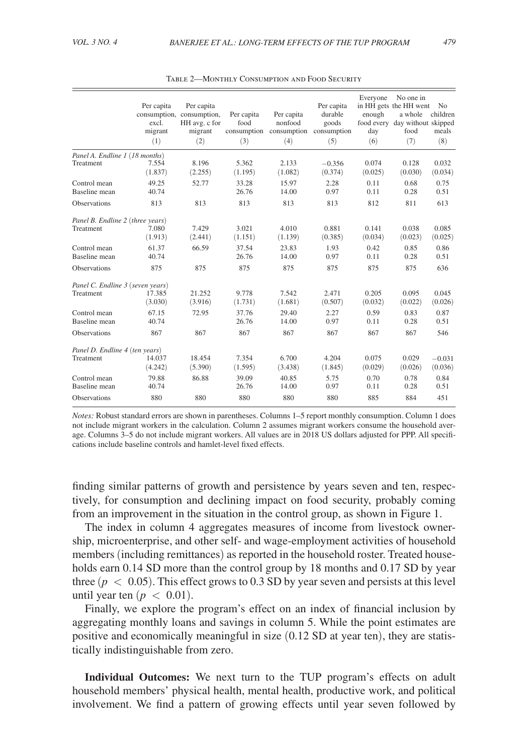|                                  | Per capita<br>excl.<br>migrant<br>(1) | Per capita<br>consumption, consumption,<br>HH avg. c for<br>migrant<br>(2) | Per capita<br>food<br>consumption<br>(3) | Per capita<br>nonfood<br>consumption consumption<br>(4) | Per capita<br>durable<br>goods<br>(5) | Everyone<br>enough<br>day<br>(6) | No one in<br>in HH gets the HH went<br>a whole<br>food every day without skipped<br>food<br>(7) | N <sub>o</sub><br>children<br>meals<br>(8) |
|----------------------------------|---------------------------------------|----------------------------------------------------------------------------|------------------------------------------|---------------------------------------------------------|---------------------------------------|----------------------------------|-------------------------------------------------------------------------------------------------|--------------------------------------------|
| Panel A. Endline 1 (18 months)   | 7.554                                 | 8.196                                                                      | 5.362                                    | 2.133                                                   | $-0.356$                              | 0.074                            | 0.128                                                                                           | 0.032                                      |
| Treatment                        | (1.837)                               | (2.255)                                                                    | (1.195)                                  | (1.082)                                                 | (0.374)                               | (0.025)                          | (0.030)                                                                                         | (0.034)                                    |
| Control mean                     | 49.25                                 | 52.77                                                                      | 33.28                                    | 15.97                                                   | 2.28                                  | 0.11                             | 0.68                                                                                            | 0.75                                       |
| Baseline mean                    | 40.74                                 |                                                                            | 26.76                                    | 14.00                                                   | 0.97                                  | 0.11                             | 0.28                                                                                            | 0.51                                       |
| <b>Observations</b>              | 813                                   | 813                                                                        | 813                                      | 813                                                     | 813                                   | 812                              | 811                                                                                             | 613                                        |
| Panel B. Endline 2 (three years) | 7.080                                 | 7.429                                                                      | 3.021                                    | 4.010                                                   | 0.881                                 | 0.141                            | 0.038                                                                                           | 0.085                                      |
| Treatment                        | (1.913)                               | (2.441)                                                                    | (1.151)                                  | (1.139)                                                 | (0.385)                               | (0.034)                          | (0.023)                                                                                         | (0.025)                                    |
| Control mean                     | 61.37                                 | 66.59                                                                      | 37.54                                    | 23.83                                                   | 1.93                                  | 0.42                             | 0.85                                                                                            | 0.86                                       |
| Baseline mean                    | 40.74                                 |                                                                            | 26.76                                    | 14.00                                                   | 0.97                                  | 0.11                             | 0.28                                                                                            | 0.51                                       |
| <b>Observations</b>              | 875                                   | 875                                                                        | 875                                      | 875                                                     | 875                                   | 875                              | 875                                                                                             | 636                                        |
| Panel C. Endline 3 (seven years) | 17.385                                | 21.252                                                                     | 9.778                                    | 7.542                                                   | 2.471                                 | 0.205                            | 0.095                                                                                           | 0.045                                      |
| Treatment                        | (3.030)                               | (3.916)                                                                    | (1.731)                                  | (1.681)                                                 | (0.507)                               | (0.032)                          | (0.022)                                                                                         | (0.026)                                    |
| Control mean                     | 67.15                                 | 72.95                                                                      | 37.76                                    | 29.40                                                   | 2.27                                  | 0.59                             | 0.83                                                                                            | 0.87                                       |
| Baseline mean                    | 40.74                                 |                                                                            | 26.76                                    | 14.00                                                   | 0.97                                  | 0.11                             | 0.28                                                                                            | 0.51                                       |
| <b>Observations</b>              | 867                                   | 867                                                                        | 867                                      | 867                                                     | 867                                   | 867                              | 867                                                                                             | 546                                        |
| Panel D. Endline 4 (ten years)   | 14.037                                | 18.454                                                                     | 7.354                                    | 6.700                                                   | 4.204                                 | 0.075                            | 0.029                                                                                           | $-0.031$                                   |
| Treatment                        | (4.242)                               | (5.390)                                                                    | (1.595)                                  | (3.438)                                                 | (1.845)                               | (0.029)                          | (0.026)                                                                                         | (0.036)                                    |
| Control mean                     | 79.88                                 | 86.88                                                                      | 39.09                                    | 40.85                                                   | 5.75                                  | 0.70                             | 0.78                                                                                            | 0.84                                       |
| Baseline mean                    | 40.74                                 |                                                                            | 26.76                                    | 14.00                                                   | 0.97                                  | 0.11                             | 0.28                                                                                            | 0.51                                       |
| Observations                     | 880                                   | 880                                                                        | 880                                      | 880                                                     | 880                                   | 885                              | 884                                                                                             | 451                                        |

Table 2—Monthly Consumption and Food Security

*Notes:* Robust standard errors are shown in parentheses. Columns 1–5 report monthly consumption. Column 1 does not include migrant workers in the calculation. Column 2 assumes migrant workers consume the household average. Columns 3–5 do not include migrant workers. All values are in 2018 US dollars adjusted for PPP. All specifications include baseline controls and hamlet-level fixed effects.

finding similar patterns of growth and persistence by years seven and ten, respectively, for consumption and declining impact on food security, probably coming from an improvement in the situation in the control group, as shown in Figure 1.

The index in column 4 aggregates measures of income from livestock ownership, microenterprise, and other self- and wage-employment activities of household members (including remittances) as reported in the household roster. Treated households earn 0.14 SD more than the control group by 18 months and 0.17 SD by year three  $(p < 0.05)$ . This effect grows to 0.3 SD by year seven and persists at this level until year ten  $(p < 0.01)$ .

Finally, we explore the program's effect on an index of financial inclusion by aggregating monthly loans and savings in column 5. While the point estimates are positive and economically meaningful in size (0.12 SD at year ten), they are statistically indistinguishable from zero.

**Individual Outcomes:** We next turn to the TUP program's effects on adult household members' physical health, mental health, productive work, and political involvement. We find a pattern of growing effects until year seven followed by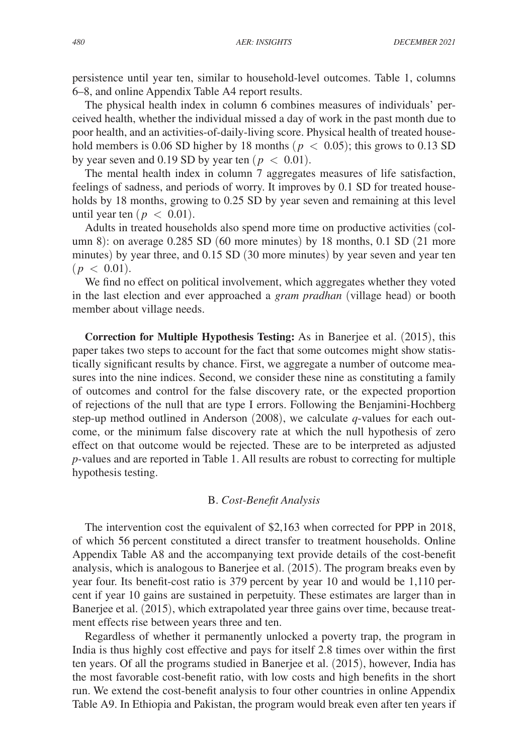persistence until year ten, similar to household-level outcomes. Table 1, columns 6–8, and online Appendix Table A4 report results.

The physical health index in column 6 combines measures of individuals' perceived health, whether the individual missed a day of work in the past month due to poor health, and an activities-of-daily-living score. Physical health of treated household members is 0.06 SD higher by 18 months ( $p < 0.05$ ); this grows to 0.13 SD by year seven and 0.19 SD by year ten ( $p < 0.01$ ).

The mental health index in column 7 aggregates measures of life satisfaction, feelings of sadness, and periods of worry. It improves by 0.1 SD for treated households by 18 months, growing to 0.25 SD by year seven and remaining at this level until year ten ( $p < 0.01$ ).

Adults in treated households also spend more time on productive activities (column 8): on average 0.285 SD (60 more minutes) by 18 months, 0.1 SD (21 more minutes) by year three, and 0.15 SD (30 more minutes) by year seven and year ten  $(p < 0.01)$ .

We find no effect on political involvement, which aggregates whether they voted in the last election and ever approached a *gram pradhan* (village head) or booth member about village needs.

**Correction for Multiple Hypothesis Testing:** As in Banerjee et al. (2015), this paper takes two steps to account for the fact that some outcomes might show statistically significant results by chance. First, we aggregate a number of outcome measures into the nine indices. Second, we consider these nine as constituting a family of outcomes and control for the false discovery rate, or the expected proportion of rejections of the null that are type I errors. Following the Benjamini-Hochberg step-up method outlined in Anderson (2008), we calculate *q*-values for each outcome, or the minimum false discovery rate at which the null hypothesis of zero effect on that outcome would be rejected. These are to be interpreted as adjusted *p-*values and are reported in Table 1. All results are robust to correcting for multiple hypothesis testing.

# B. *Cost-Benefit Analysis*

The intervention cost the equivalent of \$2,163 when corrected for PPP in 2018, of which 56 percent constituted a direct transfer to treatment households. Online Appendix Table A8 and the accompanying text provide details of the cost-benefit analysis, which is analogous to Banerjee et al. (2015). The program breaks even by year four. Its benefit-cost ratio is 379 percent by year 10 and would be 1,110 percent if year 10 gains are sustained in perpetuity. These estimates are larger than in Banerjee et al. (2015), which extrapolated year three gains over time, because treatment effects rise between years three and ten.

Regardless of whether it permanently unlocked a poverty trap, the program in India is thus highly cost effective and pays for itself 2.8 times over within the first ten years. Of all the programs studied in Banerjee et al. (2015), however, India has the most favorable cost-benefit ratio, with low costs and high benefits in the short run. We extend the cost-benefit analysis to four other countries in online Appendix Table A9. In Ethiopia and Pakistan, the program would break even after ten years if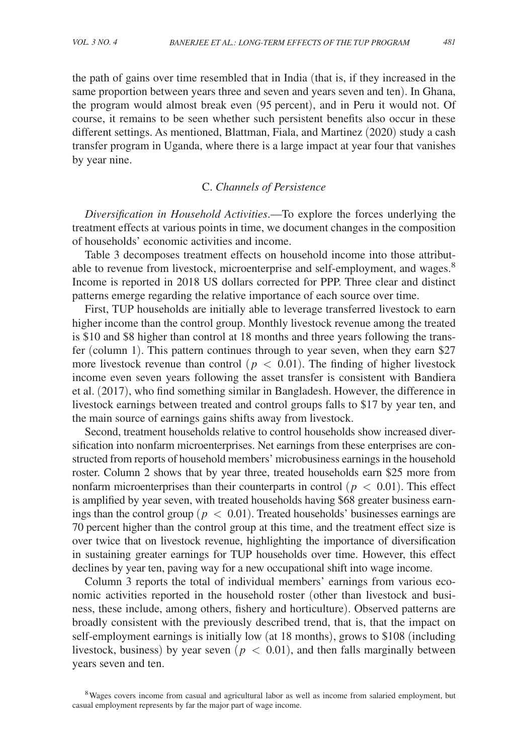the path of gains over time resembled that in India (that is, if they increased in the same proportion between years three and seven and years seven and ten). In Ghana, the program would almost break even (95 percent), and in Peru it would not. Of course, it remains to be seen whether such persistent benefits also occur in these different settings. As mentioned, Blattman, Fiala, and Martinez (2020) study a cash transfer program in Uganda, where there is a large impact at year four that vanishes by year nine.

#### C. *Channels of Persistence*

*Diversification in Household Activities*.—To explore the forces underlying the treatment effects at various points in time, we document changes in the composition of households' economic activities and income.

Table 3 decomposes treatment effects on household income into those attributable to revenue from livestock, microenterprise and self-employment, and wages.<sup>8</sup> Income is reported in 2018 US dollars corrected for PPP. Three clear and distinct patterns emerge regarding the relative importance of each source over time.

First, TUP households are initially able to leverage transferred livestock to earn higher income than the control group. Monthly livestock revenue among the treated is \$10 and \$8 higher than control at 18 months and three years following the transfer (column 1). This pattern continues through to year seven, when they earn \$27 more livestock revenue than control ( $p < 0.01$ ). The finding of higher livestock income even seven years following the asset transfer is consistent with Bandiera et al. (2017), who find something similar in Bangladesh. However, the difference in livestock earnings between treated and control groups falls to \$17 by year ten, and the main source of earnings gains shifts away from livestock.

Second, treatment households relative to control households show increased diversification into nonfarm microenterprises. Net earnings from these enterprises are constructed from reports of household members' microbusiness earnings in the household roster. Column 2 shows that by year three, treated households earn \$25 more from nonfarm microenterprises than their counterparts in control ( $p < 0.01$ ). This effect is amplified by year seven, with treated households having \$68 greater business earnings than the control group ( $p < 0.01$ ). Treated households' businesses earnings are 70 percent higher than the control group at this time, and the treatment effect size is over twice that on livestock revenue, highlighting the importance of diversification in sustaining greater earnings for TUP households over time. However, this effect declines by year ten, paving way for a new occupational shift into wage income.

Column 3 reports the total of individual members' earnings from various economic activities reported in the household roster (other than livestock and business, these include, among others, fishery and horticulture). Observed patterns are broadly consistent with the previously described trend, that is, that the impact on self-employment earnings is initially low (at 18 months), grows to \$108 (including livestock, business) by year seven ( $p < 0.01$ ), and then falls marginally between years seven and ten.

<sup>8</sup>Wages covers income from casual and agricultural labor as well as income from salaried employment, but casual employment represents by far the major part of wage income.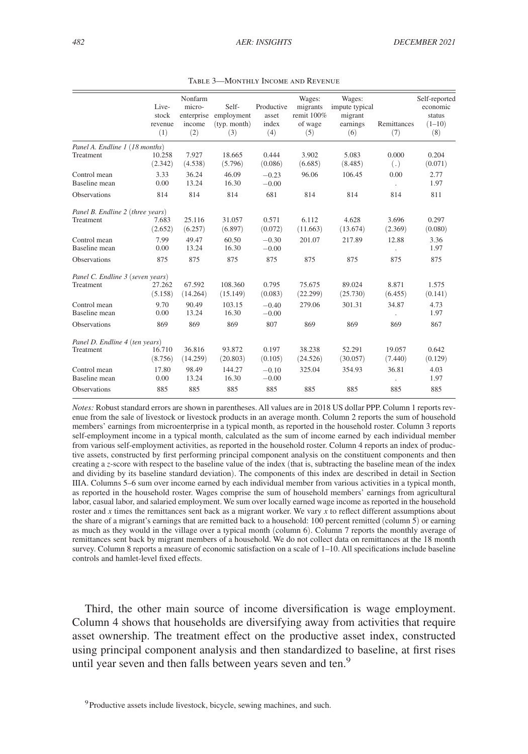|                                               | Live-<br>stock<br>revenue<br>(1) | Nonfarm<br>micro-<br>enterprise<br>income<br>(2) | Self-<br>employment<br>(typ. month)<br>(3) | Productive<br>asset<br>index<br>(4) | Wages:<br>migrants<br>remit 100%<br>of wage<br>(5) | Wages:<br>impute typical<br>migrant<br>earnings<br>(6) | Remittances<br>(7)     | Self-reported<br>economic<br>status<br>$(1-10)$<br>(8) |
|-----------------------------------------------|----------------------------------|--------------------------------------------------|--------------------------------------------|-------------------------------------|----------------------------------------------------|--------------------------------------------------------|------------------------|--------------------------------------------------------|
| Panel A. Endline 1 (18 months)<br>Treatment   | 10.258<br>(2.342)                | 7.927<br>(4.538)                                 | 18.665<br>(5.796)                          | 0.444<br>(0.086)                    | 3.902<br>(6.685)                                   | 5.083<br>(8.485)                                       | 0.000<br>(.)           | 0.204<br>(0.071)                                       |
| Control mean<br>Baseline mean                 | 3.33<br>0.00                     | 36.24<br>13.24                                   | 46.09<br>16.30                             | $-0.23$<br>$-0.00$                  | 96.06                                              | 106.45                                                 | 0.00<br>$\blacksquare$ | 2.77<br>1.97                                           |
| Observations                                  | 814                              | 814                                              | 814                                        | 681                                 | 814                                                | 814                                                    | 814                    | 811                                                    |
| Panel B. Endline 2 (three years)<br>Treatment | 7.683<br>(2.652)                 | 25.116<br>(6.257)                                | 31.057<br>(6.897)                          | 0.571<br>(0.072)                    | 6.112<br>(11.663)                                  | 4.628<br>(13.674)                                      | 3.696<br>(2.369)       | 0.297<br>(0.080)                                       |
| Control mean<br><b>Baseline</b> mean          | 7.99<br>0.00                     | 49.47<br>13.24                                   | 60.50<br>16.30                             | $-0.30$<br>$-0.00$                  | 201.07                                             | 217.89                                                 | 12.88                  | 3.36<br>1.97                                           |
| Observations                                  | 875                              | 875                                              | 875                                        | 875                                 | 875                                                | 875                                                    | 875                    | 875                                                    |
| Panel C. Endline 3 (seven years)<br>Treatment | 27.262<br>(5.158)                | 67.592<br>(14.264)                               | 108.360<br>(15.149)                        | 0.795<br>(0.083)                    | 75.675<br>(22.299)                                 | 89.024<br>(25.730)                                     | 8.871<br>(6.455)       | 1.575<br>(0.141)                                       |
| Control mean<br>Baseline mean                 | 9.70<br>0.00                     | 90.49<br>13.24                                   | 103.15<br>16.30                            | $-0.40$<br>$-0.00$                  | 279.06                                             | 301.31                                                 | 34.87                  | 4.73<br>1.97                                           |
| Observations                                  | 869                              | 869                                              | 869                                        | 807                                 | 869                                                | 869                                                    | 869                    | 867                                                    |
| Panel D. Endline 4 (ten years)<br>Treatment   | 16.710<br>(8.756)                | 36.816<br>(14.259)                               | 93.872<br>(20.803)                         | 0.197<br>(0.105)                    | 38.238<br>(24.526)                                 | 52.291<br>(30.057)                                     | 19.057<br>(7.440)      | 0.642<br>(0.129)                                       |
| Control mean<br>Baseline mean                 | 17.80<br>0.00                    | 98.49<br>13.24                                   | 144.27<br>16.30                            | $-0.10$<br>$-0.00$                  | 325.04                                             | 354.93                                                 | 36.81                  | 4.03<br>1.97                                           |
| Observations                                  | 885                              | 885                                              | 885                                        | 885                                 | 885                                                | 885                                                    | 885                    | 885                                                    |

Table 3—Monthly Income and Revenue

*Notes:* Robust standard errors are shown in parentheses. All values are in 2018 US dollar PPP. Column 1 reports revenue from the sale of livestock or livestock products in an average month. Column 2 reports the sum of household members' earnings from microenterprise in a typical month, as reported in the household roster. Column 3 reports self-employment income in a typical month, calculated as the sum of income earned by each individual member from various self-employment activities, as reported in the household roster. Column 4 reports an index of productive assets, constructed by first performing principal component analysis on the constituent components and then creating a *z*-score with respect to the baseline value of the index (that is, subtracting the baseline mean of the index and dividing by its baseline standard deviation). The components of this index are described in detail in Section IIIA. Columns 5–6 sum over income earned by each individual member from various activities in a typical month, as reported in the household roster. Wages comprise the sum of household members' earnings from agricultural labor, casual labor, and salaried employment. We sum over locally earned wage income as reported in the household roster and *x* times the remittances sent back as a migrant worker. We vary *x* to reflect different assumptions about the share of a migrant's earnings that are remitted back to a household: 100 percent remitted (column  $\bar{5}$ ) or earning as much as they would in the village over a typical month (column 6). Column 7 reports the monthly average of remittances sent back by migrant members of a household. We do not collect data on remittances at the 18 month survey. Column 8 reports a measure of economic satisfaction on a scale of 1–10. All specifications include baseline controls and hamlet-level fixed effects.

Third, the other main source of income diversification is wage employment. Column 4 shows that households are diversifying away from activities that require asset ownership. The treatment effect on the productive asset index, constructed using principal component analysis and then standardized to baseline, at first rises until year seven and then falls between years seven and ten.<sup>9</sup>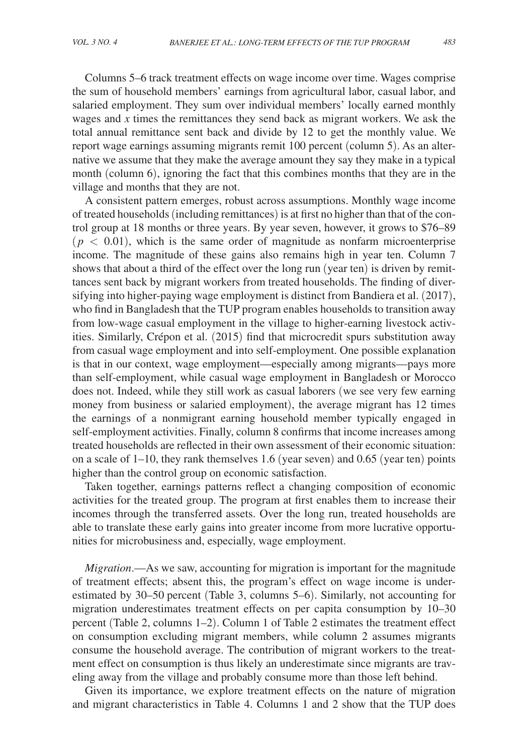Columns 5–6 track treatment effects on wage income over time. Wages comprise the sum of household members' earnings from agricultural labor, casual labor, and salaried employment. They sum over individual members' locally earned monthly wages and *x* times the remittances they send back as migrant workers. We ask the total annual remittance sent back and divide by 12 to get the monthly value. We report wage earnings assuming migrants remit 100 percent (column 5). As an alternative we assume that they make the average amount they say they make in a typical month (column 6), ignoring the fact that this combines months that they are in the village and months that they are not.

A consistent pattern emerges, robust across assumptions. Monthly wage income of treated households (including remittances) is at first no higher than that of the control group at 18 months or three years. By year seven, however, it grows to \$76–89  $(p < 0.01)$ , which is the same order of magnitude as nonfarm microenterprise income. The magnitude of these gains also remains high in year ten. Column 7 shows that about a third of the effect over the long run (year ten) is driven by remittances sent back by migrant workers from treated households. The finding of diversifying into higher-paying wage employment is distinct from Bandiera et al. (2017), who find in Bangladesh that the TUP program enables households to transition away from low-wage casual employment in the village to higher-earning livestock activities. Similarly, Crépon et al. (2015) find that microcredit spurs substitution away from casual wage employment and into self-employment. One possible explanation is that in our context, wage employment—especially among migrants—pays more than self-employment, while casual wage employment in Bangladesh or Morocco does not. Indeed, while they still work as casual laborers (we see very few earning money from business or salaried employment), the average migrant has 12 times the earnings of a nonmigrant earning household member typically engaged in self-employment activities. Finally, column 8 confirms that income increases among treated households are reflected in their own assessment of their economic situation: on a scale of 1–10, they rank themselves 1.6 (year seven) and 0.65 (year ten) points higher than the control group on economic satisfaction.

Taken together, earnings patterns reflect a changing composition of economic activities for the treated group. The program at first enables them to increase their incomes through the transferred assets. Over the long run, treated households are able to translate these early gains into greater income from more lucrative opportunities for microbusiness and, especially, wage employment.

*Migration*.—As we saw, accounting for migration is important for the magnitude of treatment effects; absent this, the program's effect on wage income is underestimated by 30–50 percent (Table 3, columns 5–6). Similarly, not accounting for migration underestimates treatment effects on per capita consumption by 10–30 percent (Table 2, columns 1–2). Column 1 of Table 2 estimates the treatment effect on consumption excluding migrant members, while column 2 assumes migrants consume the household average. The contribution of migrant workers to the treatment effect on consumption is thus likely an underestimate since migrants are traveling away from the village and probably consume more than those left behind.

Given its importance, we explore treatment effects on the nature of migration and migrant characteristics in Table 4. Columns 1 and 2 show that the TUP does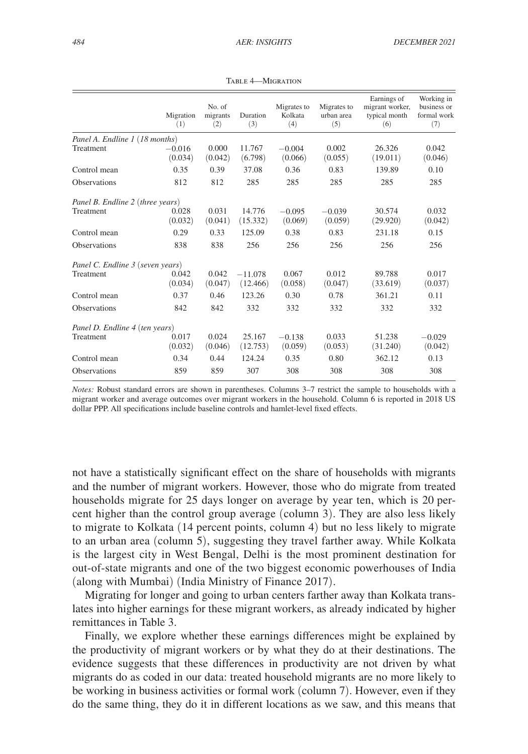|                                  | Migration<br>(1) | No. of<br>migrants<br>(2) | Duration<br>(3) | Migrates to<br>Kolkata<br>(4) | Migrates to<br>urban area<br>(5) | Earnings of<br>migrant worker,<br>typical month<br>(6) | Working in<br>business or<br>formal work<br>(7) |
|----------------------------------|------------------|---------------------------|-----------------|-------------------------------|----------------------------------|--------------------------------------------------------|-------------------------------------------------|
| Panel A. Endline 1 (18 months)   |                  |                           |                 |                               |                                  |                                                        |                                                 |
| Treatment                        | $-0.016$         | 0.000                     | 11.767          | $-0.004$                      | 0.002                            | 26.326                                                 | 0.042                                           |
|                                  | (0.034)          | (0.042)                   | (6.798)         | (0.066)                       | (0.055)                          | (19.011)                                               | (0.046)                                         |
| Control mean                     | 0.35             | 0.39                      | 37.08           | 0.36                          | 0.83                             | 139.89                                                 | 0.10                                            |
| <b>Observations</b>              | 812              | 812                       | 285             | 285                           | 285                              | 285                                                    | 285                                             |
| Panel B. Endline 2 (three years) |                  |                           |                 |                               |                                  |                                                        |                                                 |
| Treatment                        | 0.028            | 0.031                     | 14.776          | $-0.095$                      | $-0.039$                         | 30.574                                                 | 0.032                                           |
|                                  | (0.032)          | (0.041)                   | (15.332)        | (0.069)                       | (0.059)                          | (29.920)                                               | (0.042)                                         |
| Control mean                     | 0.29             | 0.33                      | 125.09          | 0.38                          | 0.83                             | 231.18                                                 | 0.15                                            |
| <b>Observations</b>              | 838              | 838                       | 256             | 256                           | 256                              | 256                                                    | 256                                             |
| Panel C. Endline 3 (seven years) |                  |                           |                 |                               |                                  |                                                        |                                                 |
| Treatment                        | 0.042            | 0.042                     | $-11.078$       | 0.067                         | 0.012                            | 89.788                                                 | 0.017                                           |
|                                  | (0.034)          | (0.047)                   | (12.466)        | (0.058)                       | (0.047)                          | (33.619)                                               | (0.037)                                         |
| Control mean                     | 0.37             | 0.46                      | 123.26          | 0.30                          | 0.78                             | 361.21                                                 | 0.11                                            |
| <b>Observations</b>              | 842              | 842                       | 332             | 332                           | 332                              | 332                                                    | 332                                             |
| Panel D. Endline 4 (ten years)   |                  |                           |                 |                               |                                  |                                                        |                                                 |
| Treatment                        | 0.017            | 0.024                     | 25.167          | $-0.138$                      | 0.033                            | 51.238                                                 | $-0.029$                                        |
|                                  | (0.032)          | (0.046)                   | (12.753)        | (0.059)                       | (0.053)                          | (31.240)                                               | (0.042)                                         |
| Control mean                     | 0.34             | 0.44                      | 124.24          | 0.35                          | 0.80                             | 362.12                                                 | 0.13                                            |
| <b>Observations</b>              | 859              | 859                       | 307             | 308                           | 308                              | 308                                                    | 308                                             |

Table 4—Migration

*Notes:* Robust standard errors are shown in parentheses. Columns 3–7 restrict the sample to households with a migrant worker and average outcomes over migrant workers in the household. Column 6 is reported in 2018 US dollar PPP. All specifications include baseline controls and hamlet-level fixed effects.

not have a statistically significant effect on the share of households with migrants and the number of migrant workers. However, those who do migrate from treated households migrate for 25 days longer on average by year ten, which is 20 percent higher than the control group average (column 3). They are also less likely to migrate to Kolkata (14 percent points, column 4) but no less likely to migrate to an urban area (column 5), suggesting they travel farther away. While Kolkata is the largest city in West Bengal, Delhi is the most prominent destination for out-of-state migrants and one of the two biggest economic powerhouses of India (along with Mumbai) (India Ministry of Finance 2017).

Migrating for longer and going to urban centers farther away than Kolkata translates into higher earnings for these migrant workers, as already indicated by higher remittances in Table 3.

Finally, we explore whether these earnings differences might be explained by the productivity of migrant workers or by what they do at their destinations. The evidence suggests that these differences in productivity are not driven by what migrants do as coded in our data: treated household migrants are no more likely to be working in business activities or formal work (column 7). However, even if they do the same thing, they do it in different locations as we saw, and this means that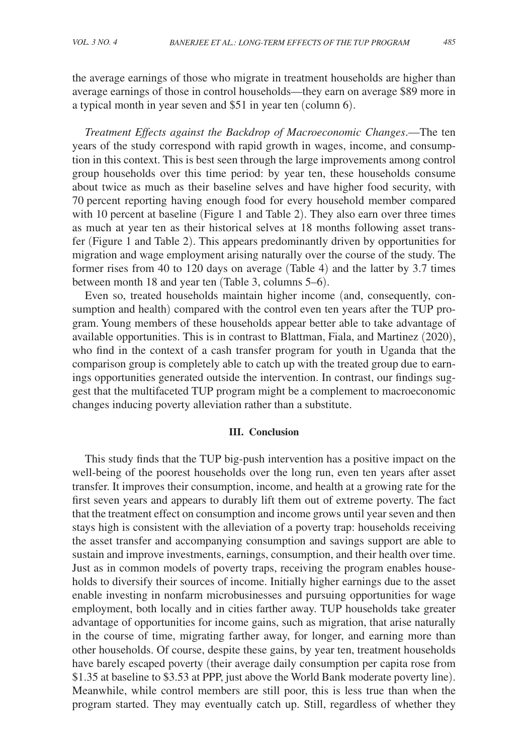the average earnings of those who migrate in treatment households are higher than average earnings of those in control households—they earn on average \$89 more in a typical month in year seven and \$51 in year ten (column 6).

*Treatment Effects against the Backdrop of Macroeconomic Changes*.—The ten years of the study correspond with rapid growth in wages, income, and consumption in this context. This is best seen through the large improvements among control group households over this time period: by year ten, these households consume about twice as much as their baseline selves and have higher food security, with 70 percent reporting having enough food for every household member compared with 10 percent at baseline (Figure 1 and Table 2). They also earn over three times as much at year ten as their historical selves at 18 months following asset transfer (Figure 1 and Table 2). This appears predominantly driven by opportunities for migration and wage employment arising naturally over the course of the study. The former rises from 40 to 120 days on average (Table 4) and the latter by 3.7 times between month 18 and year ten (Table 3, columns 5–6).

Even so, treated households maintain higher income (and, consequently, consumption and health) compared with the control even ten years after the TUP program. Young members of these households appear better able to take advantage of available opportunities. This is in contrast to Blattman, Fiala, and Martinez (2020), who find in the context of a cash transfer program for youth in Uganda that the comparison group is completely able to catch up with the treated group due to earnings opportunities generated outside the intervention. In contrast, our findings suggest that the multifaceted TUP program might be a complement to macroeconomic changes inducing poverty alleviation rather than a substitute.

### **III. Conclusion**

This study finds that the TUP big-push intervention has a positive impact on the well-being of the poorest households over the long run, even ten years after asset transfer. It improves their consumption, income, and health at a growing rate for the first seven years and appears to durably lift them out of extreme poverty. The fact that the treatment effect on consumption and income grows until year seven and then stays high is consistent with the alleviation of a poverty trap: households receiving the asset transfer and accompanying consumption and savings support are able to sustain and improve investments, earnings, consumption, and their health over time. Just as in common models of poverty traps, receiving the program enables households to diversify their sources of income. Initially higher earnings due to the asset enable investing in nonfarm microbusinesses and pursuing opportunities for wage employment, both locally and in cities farther away. TUP households take greater advantage of opportunities for income gains, such as migration, that arise naturally in the course of time, migrating farther away, for longer, and earning more than other households. Of course, despite these gains, by year ten, treatment households have barely escaped poverty (their average daily consumption per capita rose from \$1.35 at baseline to \$3.53 at PPP, just above the World Bank moderate poverty line). Meanwhile, while control members are still poor, this is less true than when the program started. They may eventually catch up. Still, regardless of whether they